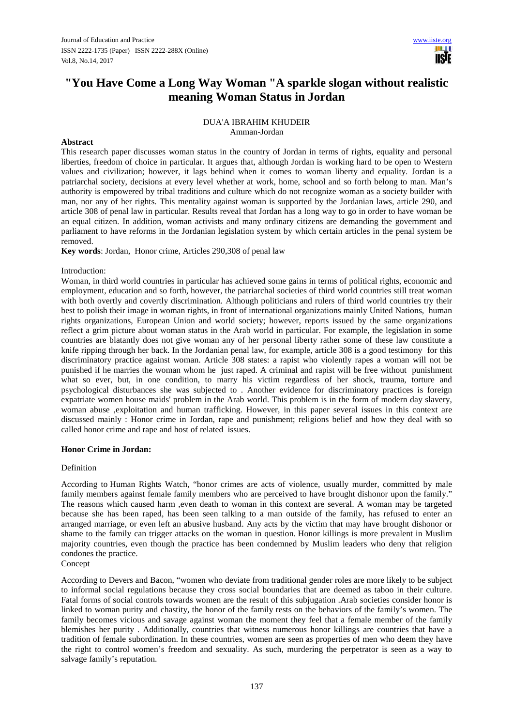# **"You Have Come a Long Way Woman " A sparkle slogan without realistic meaning Woman Status in Jordan**

## DUA'A IBRAHIM KHUDEIR Amman-Jordan

## **Abstract**

This research paper discusses woman status in the country of Jordan in terms of rights, equality and personal liberties, freedom of choice in particular. It argues that, although Jordan is working hard to be open to Western values and civilization; however, it lags behind when it comes to woman liberty and equality. Jordan is a patriarchal society, decisions at every level whether at work, home, school and so forth belong to man. Man's authority is empowered by tribal traditions and culture which do not recognize woman as a society builder with man, nor any of her rights. This mentality against woman is supported by the Jordanian laws, article 290, and article 308 of penal law in particular. Results reveal that Jordan has a long way to go in order to have woman be an equal citizen. In addition, woman activists and many ordinary citizens are demanding the government and parliament to have reforms in the Jordanian legislation system by which certain articles in the penal system be removed.

**Key words**: Jordan, Honor crime, Articles 290,308 of penal law

## Introduction:

Woman, in third world countries in particular has achieved some gains in terms of political rights, economic and employment, education and so forth, however, the patriarchal societies of third world countries still treat woman with both overtly and covertly discrimination. Although politicians and rulers of third world countries try their best to polish their image in woman rights, in front of international organizations mainly United Nations, human rights organizations, European Union and world society; however, reports issued by the same organizations reflect a grim picture about woman status in the Arab world in particular. For example, the legislation in some countries are blatantly does not give woman any of her personal liberty rather some of these law constitute a knife ripping through her back. In the Jordanian penal law, for example, article 308 is a good testimony for this discriminatory practice against woman. Article 308 states: a rapist who violently rapes a woman will not be punished if he marries the woman whom he just raped. A criminal and rapist will be free without punishment what so ever, but, in one condition, to marry his victim regardless of her shock, trauma, torture and psychological disturbances she was subjected to . Another evidence for discriminatory practices is foreign expatriate women house maids' problem in the Arab world. This problem is in the form of modern day slavery, woman abuse ,exploitation and human trafficking. However, in this paper several issues in this context are discussed mainly : Honor crime in Jordan, rape and punishment; religions belief and how they deal with so called honor crime and rape and host of related issues.

## **Honor Crime in Jordan:**

## Definition

According to Human Rights Watch, "honor crimes are acts of violence, usually murder, committed by male family members against female family members who are perceived to have brought dishonor upon the family." The reasons which caused harm ,even death to woman in this context are several. A woman may be targeted because she has been raped, has been seen talking to a man outside of the family, has refused to enter an arranged marriage, or even left an abusive husband. Any acts by the victim that may have brought dishonor or shame to the family can trigger attacks on the woman in question. Honor killings is more prevalent in Muslim majority countries, even though the practice has been condemned by Muslim leaders who deny that religion condones the practice.

Concept

According to Devers and Bacon, "women who deviate from traditional gender roles are more likely to be subject to informal social regulations because they cross social boundaries that are deemed as taboo in their culture. Fatal forms of social controls towards women are the result of this subjugation .Arab societies consider honor is linked to woman purity and chastity, the honor of the family rests on the behaviors of the family's women. The family becomes vicious and savage against woman the moment they feel that a female member of the family blemishes her purity . Additionally, countries that witness numerous honor killings are countries that have a tradition of female subordination. In these countries, women are seen as properties of men who deem they have the right to control women's freedom and sexuality. As such, murdering the perpetrator is seen as a way to salvage family's reputation.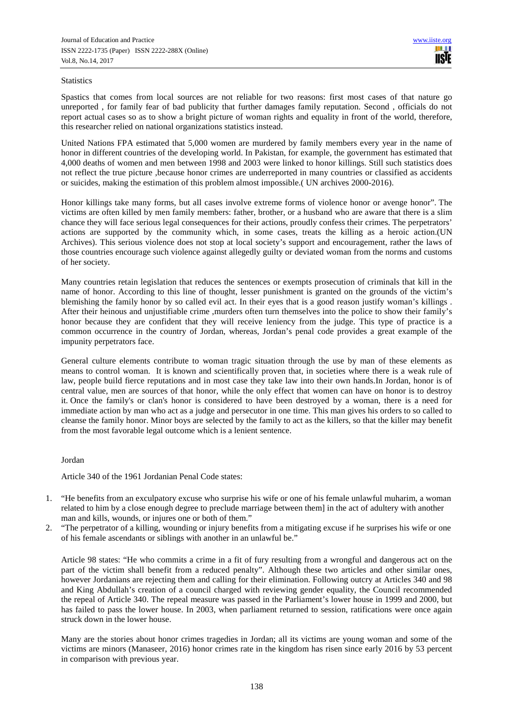## **Statistics**

Spastics that comes from local sources are not reliable for two reasons: first most cases of that nature go unreported , for family fear of bad publicity that further damages family reputation. Second , officials do not report actual cases so as to show a bright picture of woman rights and equality in front of the world, therefore, this researcher relied on national organizations statistics instead.

United Nations FPA estimated that 5,000 women are murdered by family members every year in the name of honor in different countries of the developing world. In Pakistan, for example, the government has estimated that 4,000 deaths of women and men between 1998 and 2003 were linked to honor killings. Still such statistics does not reflect the true picture ,because honor crimes are underreported in many countries or classified as accidents or suicides, making the estimation of this problem almost impossible.( UN archives 2000-2016).

Honor killings take many forms, but all cases involve extreme forms of violence honor or avenge honor". The victims are often killed by men family members: father, brother, or a husband who are aware that there is a slim chance they will face serious legal consequences for their actions, proudly confess their crimes. The perpetrators' actions are supported by the community which, in some cases, treats the killing as a heroic action.(UN Archives). This serious violence does not stop at local society's support and encouragement, rather the laws of those countries encourage such violence against allegedly guilty or deviated woman from the norms and customs of her society.

Many countries retain legislation that reduces the sentences or exempts prosecution of criminals that kill in the name of honor. According to this line of thought, lesser punishment is granted on the grounds of the victim's blemishing the family honor by so called evil act. In their eyes that is a good reason justify woman's killings . After their heinous and unjustifiable crime ,murders often turn themselves into the police to show their family's honor because they are confident that they will receive leniency from the judge. This type of practice is a common occurrence in the country of Jordan, whereas, Jordan's penal code provides a great example of the impunity perpetrators face.

General culture elements contribute to woman tragic situation through the use by man of these elements as means to control woman. It is known and scientifically proven that, in societies where there is a weak rule of law, people build fierce reputations and in most case they take law into their own hands.In Jordan, honor is of central value, men are sources of that honor, while the only effect that women can have on honor is to destroy it. Once the family's or clan's honor is considered to have been destroyed by a woman, there is a need for immediate action by man who act as a judge and persecutor in one time. This man gives his orders to so called to cleanse the family honor. Minor boys are selected by the family to act as the killers, so that the killer may benefit from the most favorable legal outcome which is a lenient sentence.

## Jordan

Article 340 of the 1961 Jordanian Penal Code states:

- 1. "He benefits from an exculpatory excuse who surprise his wife or one of his female unlawful muharim, a woman related to him by a close enough degree to preclude marriage between them] in the act of adultery with another man and kills, wounds, or injures one or both of them."
- 2. "The perpetrator of a killing, wounding or injury benefits from a mitigating excuse if he surprises his wife or one of his female ascendants or siblings with another in an unlawful be."

Article 98 states: "He who commits a crime in a fit of fury resulting from a wrongful and dangerous act on the part of the victim shall benefit from a reduced penalty". Although these two articles and other similar ones, however Jordanians are rejecting them and calling for their elimination. Following outcry at Articles 340 and 98 and King Abdullah's creation of a council charged with reviewing gender equality, the Council recommended the repeal of Article 340. The repeal measure was passed in the Parliament's lower house in 1999 and 2000, but has failed to pass the lower house. In 2003, when parliament returned to session, ratifications were once again struck down in the lower house.

Many are the stories about honor crimes tragedies in Jordan; all its victims are young woman and some of the victims are minors (Manaseer, 2016) honor crimes rate in the kingdom has risen since early 2016 by 53 percent in comparison with previous year.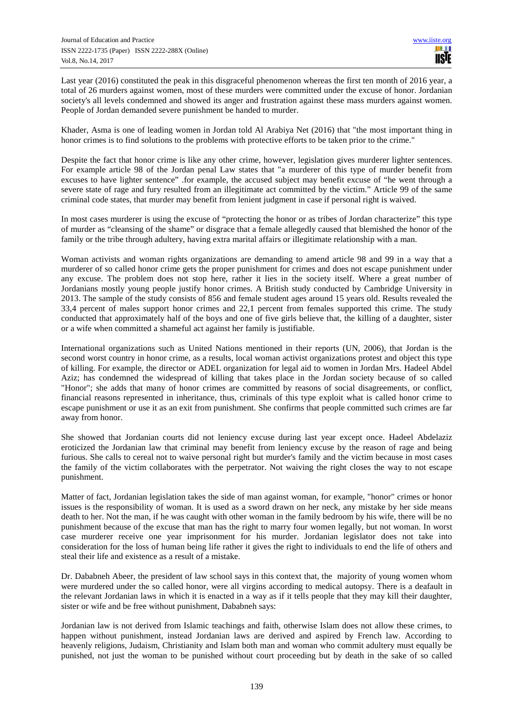Last year (2016) constituted the peak in this disgraceful phenomenon whereas the first ten month of 2016 year, a total of 26 murders against women, most of these murders were committed under the excuse of honor. Jordanian society's all levels condemned and showed its anger and frustration against these mass murders against women. People of Jordan demanded severe punishment be handed to murder.

Khader, Asma is one of leading women in Jordan told Al Arabiya Net (2016) that "the most important thing in honor crimes is to find solutions to the problems with protective efforts to be taken prior to the crime."

Despite the fact that honor crime is like any other crime, however, legislation gives murderer lighter sentences. For example article 98 of the Jordan penal Law states that "a murderer of this type of murder benefit from excuses to have lighter sentence" .for example, the accused subject may benefit excuse of "he went through a severe state of rage and fury resulted from an illegitimate act committed by the victim." Article 99 of the same criminal code states, that murder may benefit from lenient judgment in case if personal right is waived.

In most cases murderer is using the excuse of "protecting the honor or as tribes of Jordan characterize" this type of murder as "cleansing of the shame" or disgrace that a female allegedly caused that blemished the honor of the family or the tribe through adultery, having extra marital affairs or illegitimate relationship with a man.

Woman activists and woman rights organizations are demanding to amend article 98 and 99 in a way that a murderer of so called honor crime gets the proper punishment for crimes and does not escape punishment under any excuse. The problem does not stop here, rather it lies in the society itself. Where a great number of Jordanians mostly young people justify honor crimes. A British study conducted by Cambridge University in 2013. The sample of the study consists of 856 and female student ages around 15 years old. Results revealed the 33,4 percent of males support honor crimes and 22,1 percent from females supported this crime. The study conducted that approximately half of the boys and one of five girls believe that, the killing of a daughter, sister or a wife when committed a shameful act against her family is justifiable.

International organizations such as United Nations mentioned in their reports (UN, 2006), that Jordan is the second worst country in honor crime, as a results, local woman activist organizations protest and object this type of killing. For example, the director or ADEL organization for legal aid to women in Jordan Mrs. Hadeel Abdel Aziz; has condemned the widespread of killing that takes place in the Jordan society because of so called "Honor"; she adds that many of honor crimes are committed by reasons of social disagreements, or conflict, financial reasons represented in inheritance, thus, criminals of this type exploit what is called honor crime to escape punishment or use it as an exit from punishment. She confirms that people committed such crimes are far away from honor.

She showed that Jordanian courts did not leniency excuse during last year except once. Hadeel Abdelaziz eroticized the Jordanian law that criminal may benefit from leniency excuse by the reason of rage and being furious. She calls to cereal not to waive personal right but murder's family and the victim because in most cases the family of the victim collaborates with the perpetrator. Not waiving the right closes the way to not escape punishment.

Matter of fact, Jordanian legislation takes the side of man against woman, for example, "honor" crimes or honor issues is the responsibility of woman. It is used as a sword drawn on her neck, any mistake by her side means death to her. Not the man, if he was caught with other woman in the family bedroom by his wife, there will be no punishment because of the excuse that man has the right to marry four women legally, but not woman. In worst case murderer receive one year imprisonment for his murder. Jordanian legislator does not take into consideration for the loss of human being life rather it gives the right to individuals to end the life of others and steal their life and existence as a result of a mistake.

Dr. Dababneh Abeer, the president of law school says in this context that, the majority of young women whom were murdered under the so called honor, were all virgins according to medical autopsy. There is a deafault in the relevant Jordanian laws in which it is enacted in a way as if it tells people that they may kill their daughter, sister or wife and be free without punishment, Dababneh says:

Jordanian law is not derived from Islamic teachings and faith, otherwise Islam does not allow these crimes, to happen without punishment, instead Jordanian laws are derived and aspired by French law. According to heavenly religions, Judaism, Christianity and Islam both man and woman who commit adultery must equally be punished, not just the woman to be punished without court proceeding but by death in the sake of so called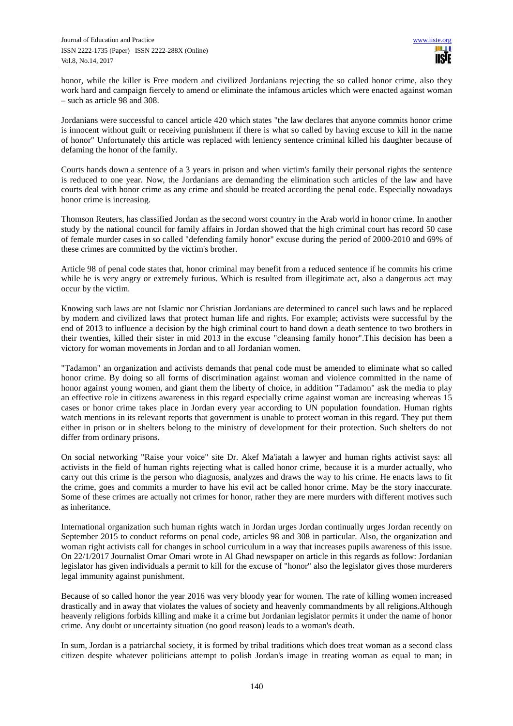honor, while the killer is Free modern and civilized Jordanians rejecting the so called honor crime, also they work hard and campaign fiercely to amend or eliminate the infamous articles which were enacted against woman – such as article 98 and 308.

Jordanians were successful to cancel article 420 which states "the law declares that anyone commits honor crime is innocent without guilt or receiving punishment if there is what so called by having excuse to kill in the name of honor" Unfortunately this article was replaced with leniency sentence criminal killed his daughter because of defaming the honor of the family.

Courts hands down a sentence of a 3 years in prison and when victim's family their personal rights the sentence is reduced to one year. Now, the Jordanians are demanding the elimination such articles of the law and have courts deal with honor crime as any crime and should be treated according the penal code. Especially nowadays honor crime is increasing.

Thomson Reuters, has classified Jordan as the second worst country in the Arab world in honor crime. In another study by the national council for family affairs in Jordan showed that the high criminal court has record 50 case of female murder cases in so called "defending family honor" excuse during the period of 2000-2010 and 69% of these crimes are committed by the victim's brother.

Article 98 of penal code states that, honor criminal may benefit from a reduced sentence if he commits his crime while he is very angry or extremely furious. Which is resulted from illegitimate act, also a dangerous act may occur by the victim.

Knowing such laws are not Islamic nor Christian Jordanians are determined to cancel such laws and be replaced by modern and civilized laws that protect human life and rights. For example; activists were successful by the end of 2013 to influence a decision by the high criminal court to hand down a death sentence to two brothers in their twenties, killed their sister in mid 2013 in the excuse "cleansing family honor".This decision has been a victory for woman movements in Jordan and to all Jordanian women.

"Tadamon" an organization and activists demands that penal code must be amended to eliminate what so called honor crime. By doing so all forms of discrimination against woman and violence committed in the name of honor against young women, and giant them the liberty of choice, in addition "Tadamon" ask the media to play an effective role in citizens awareness in this regard especially crime against woman are increasing whereas 15 cases or honor crime takes place in Jordan every year according to UN population foundation. Human rights watch mentions in its relevant reports that government is unable to protect woman in this regard. They put them either in prison or in shelters belong to the ministry of development for their protection. Such shelters do not differ from ordinary prisons.

On social networking "Raise your voice" site Dr. Akef Ma'iatah a lawyer and human rights activist says: all activists in the field of human rights rejecting what is called honor crime, because it is a murder actually, who carry out this crime is the person who diagnosis, analyzes and draws the way to his crime. He enacts laws to fit the crime, goes and commits a murder to have his evil act be called honor crime. May be the story inaccurate. Some of these crimes are actually not crimes for honor, rather they are mere murders with different motives such as inheritance.

International organization such human rights watch in Jordan urges Jordan continually urges Jordan recently on September 2015 to conduct reforms on penal code, articles 98 and 308 in particular. Also, the organization and woman right activists call for changes in school curriculum in a way that increases pupils awareness of this issue. On 22/1/2017 Journalist Omar Omari wrote in Al Ghad newspaper on article in this regards as follow: Jordanian legislator has given individuals a permit to kill for the excuse of "honor" also the legislator gives those murderers legal immunity against punishment.

Because of so called honor the year 2016 was very bloody year for women. The rate of killing women increased drastically and in away that violates the values of society and heavenly commandments by all religions.Although heavenly religions forbids killing and make it a crime but Jordanian legislator permits it under the name of honor crime. Any doubt or uncertainty situation (no good reason) leads to a woman's death.

In sum, Jordan is a patriarchal society, it is formed by tribal traditions which does treat woman as a second class citizen despite whatever politicians attempt to polish Jordan's image in treating woman as equal to man; in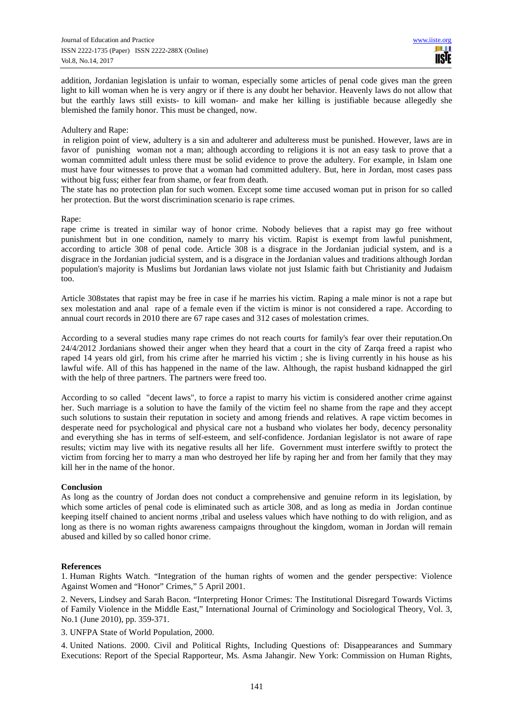addition, Jordanian legislation is unfair to woman, especially some articles of penal code gives man the green light to kill woman when he is very angry or if there is any doubt her behavior. Heavenly laws do not allow that but the earthly laws still exists- to kill woman- and make her killing is justifiable because allegedly she blemished the family honor. This must be changed, now.

## Adultery and Rape:

 in religion point of view, adultery is a sin and adulterer and adulteress must be punished. However, laws are in favor of punishing woman not a man; although according to religions it is not an easy task to prove that a woman committed adult unless there must be solid evidence to prove the adultery. For example, in Islam one must have four witnesses to prove that a woman had committed adultery. But, here in Jordan, most cases pass without big fuss; either fear from shame, or fear from death.

The state has no protection plan for such women. Except some time accused woman put in prison for so called her protection. But the worst discrimination scenario is rape crimes.

## Rape:

rape crime is treated in similar way of honor crime. Nobody believes that a rapist may go free without punishment but in one condition, namely to marry his victim. Rapist is exempt from lawful punishment, according to article 308 of penal code. Article 308 is a disgrace in the Jordanian judicial system, and is a disgrace in the Jordanian judicial system, and is a disgrace in the Jordanian values and traditions although Jordan population's majority is Muslims but Jordanian laws violate not just Islamic faith but Christianity and Judaism too.

Article 308states that rapist may be free in case if he marries his victim. Raping a male minor is not a rape but sex molestation and anal rape of a female even if the victim is minor is not considered a rape. According to annual court records in 2010 there are 67 rape cases and 312 cases of molestation crimes.

According to a several studies many rape crimes do not reach courts for family's fear over their reputation.On 24/4/2012 Jordanians showed their anger when they heard that a court in the city of Zarqa freed a rapist who raped 14 years old girl, from his crime after he married his victim ; she is living currently in his house as his lawful wife. All of this has happened in the name of the law. Although, the rapist husband kidnapped the girl with the help of three partners. The partners were freed too.

According to so called "decent laws", to force a rapist to marry his victim is considered another crime against her. Such marriage is a solution to have the family of the victim feel no shame from the rape and they accept such solutions to sustain their reputation in society and among friends and relatives. A rape victim becomes in desperate need for psychological and physical care not a husband who violates her body, decency personality and everything she has in terms of self-esteem, and self-confidence. Jordanian legislator is not aware of rape results; victim may live with its negative results all her life. Government must interfere swiftly to protect the victim from forcing her to marry a man who destroyed her life by raping her and from her family that they may kill her in the name of the honor.

## **Conclusion**

As long as the country of Jordan does not conduct a comprehensive and genuine reform in its legislation, by which some articles of penal code is eliminated such as article 308, and as long as media in Jordan continue keeping itself chained to ancient norms ,tribal and useless values which have nothing to do with religion, and as long as there is no woman rights awareness campaigns throughout the kingdom, woman in Jordan will remain abused and killed by so called honor crime.

## **References**

1. Human Rights Watch. "Integration of the human rights of women and the gender perspective: Violence Against Women and "Honor" Crimes," 5 April 2001.

2. Nevers, Lindsey and Sarah Bacon. "Interpreting Honor Crimes: The Institutional Disregard Towards Victims of Family Violence in the Middle East," International Journal of Criminology and Sociological Theory, Vol. 3, No.1 (June 2010), pp. 359-371.

3. UNFPA State of World Population, 2000.

4. United Nations. 2000. Civil and Political Rights, Including Questions of: Disappearances and Summary Executions: Report of the Special Rapporteur, Ms. Asma Jahangir. New York: Commission on Human Rights,